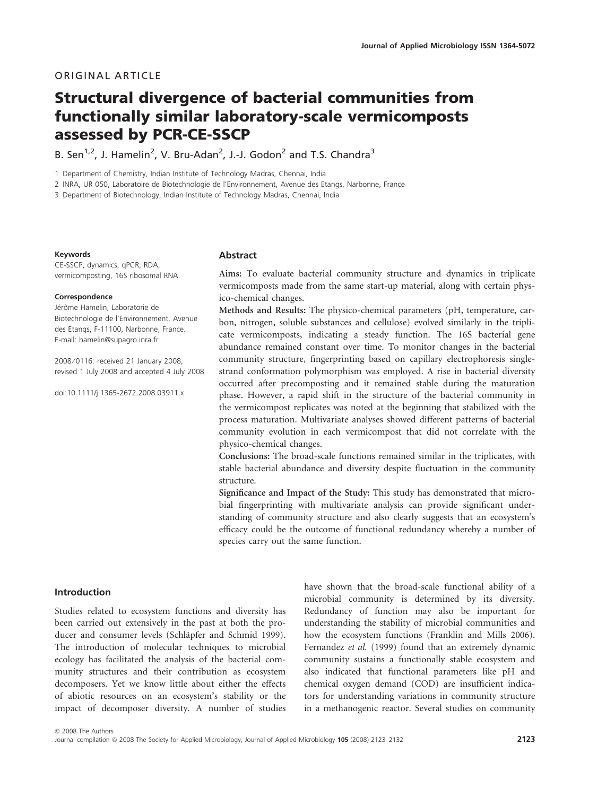# ORIGINAL ARTICLE

# Structural divergence of bacterial communities from functionally similar laboratory-scale vermicomposts assessed by PCR-CE-SSCP

B. Sen<sup>1,2</sup>, J. Hamelin<sup>2</sup>, V. Bru-Adan<sup>2</sup>, J.-J. Godon<sup>2</sup> and T.S. Chandra<sup>3</sup>

1 Department of Chemistry, Indian Institute of Technology Madras, Chennai, India

2 INRA, UR 050, Laboratoire de Biotechnologie de l'Environnement, Avenue des Etangs, Narbonne, France

3 Department of Biotechnology, Indian Institute of Technology Madras, Chennai, India

#### Keywords

CE-SSCP, dynamics, qPCR, RDA, vermicomposting, 16S ribosomal RNA.

#### Correspondence

Jérôme Hamelin, Laboratorie de Biotechnologie de l'Environnement, Avenue des Etangs, F-11100, Narbonne, France. E-mail: hamelin@supagro.inra.fr

2008 ⁄ 0116: received 21 January 2008, revised 1 July 2008 and accepted 4 July 2008

doi:10.1111/j.1365-2672.2008.03911.x

#### Abstract

Aims: To evaluate bacterial community structure and dynamics in triplicate vermicomposts made from the same start-up material, along with certain physico-chemical changes.

Methods and Results: The physico-chemical parameters (pH, temperature, carbon, nitrogen, soluble substances and cellulose) evolved similarly in the triplicate vermicomposts, indicating a steady function. The 16S bacterial gene abundance remained constant over time. To monitor changes in the bacterial community structure, fingerprinting based on capillary electrophoresis singlestrand conformation polymorphism was employed. A rise in bacterial diversity occurred after precomposting and it remained stable during the maturation phase. However, a rapid shift in the structure of the bacterial community in the vermicompost replicates was noted at the beginning that stabilized with the process maturation. Multivariate analyses showed different patterns of bacterial community evolution in each vermicompost that did not correlate with the physico-chemical changes.

Conclusions: The broad-scale functions remained similar in the triplicates, with stable bacterial abundance and diversity despite fluctuation in the community structure.

Significance and Impact of the Study: This study has demonstrated that microbial fingerprinting with multivariate analysis can provide significant understanding of community structure and also clearly suggests that an ecosystem's efficacy could be the outcome of functional redundancy whereby a number of species carry out the same function.

# Introduction

Studies related to ecosystem functions and diversity has been carried out extensively in the past at both the producer and consumer levels (Schläpfer and Schmid 1999). The introduction of molecular techniques to microbial ecology has facilitated the analysis of the bacterial community structures and their contribution as ecosystem decomposers. Yet we know little about either the effects of abiotic resources on an ecosystem's stability or the impact of decomposer diversity. A number of studies

have shown that the broad-scale functional ability of a microbial community is determined by its diversity. Redundancy of function may also be important for understanding the stability of microbial communities and how the ecosystem functions (Franklin and Mills 2006). Fernandez *et al.* (1999) found that an extremely dynamic community sustains a functionally stable ecosystem and also indicated that functional parameters like pH and chemical oxygen demand (COD) are insufficient indicators for understanding variations in community structure in a methanogenic reactor. Several studies on community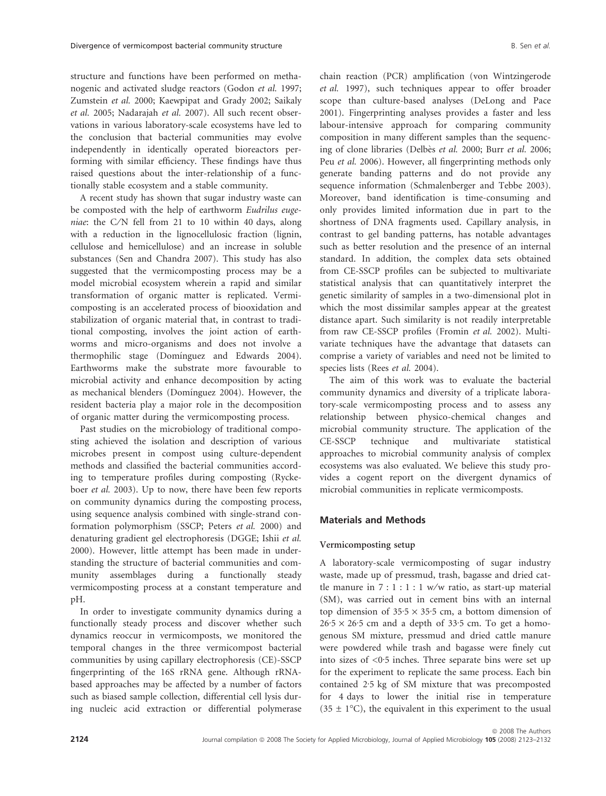structure and functions have been performed on methanogenic and activated sludge reactors (Godon *et al.* 1997; Zumstein *et al.* 2000; Kaewpipat and Grady 2002; Saikaly *et al.* 2005; Nadarajah *et al.* 2007). All such recent observations in various laboratory-scale ecosystems have led to the conclusion that bacterial communities may evolve independently in identically operated bioreactors performing with similar efficiency. These findings have thus raised questions about the inter-relationship of a functionally stable ecosystem and a stable community.

A recent study has shown that sugar industry waste can be composted with the help of earthworm *Eudrilus eugeniae*: the C/N fell from 21 to 10 within 40 days, along with a reduction in the lignocellulosic fraction (lignin, cellulose and hemicellulose) and an increase in soluble substances (Sen and Chandra 2007). This study has also suggested that the vermicomposting process may be a model microbial ecosystem wherein a rapid and similar transformation of organic matter is replicated. Vermicomposting is an accelerated process of biooxidation and stabilization of organic material that, in contrast to traditional composting, involves the joint action of earthworms and micro-organisms and does not involve a thermophilic stage (Dominguez and Edwards 2004). Earthworms make the substrate more favourable to microbial activity and enhance decomposition by acting as mechanical blenders (Domínguez 2004). However, the resident bacteria play a major role in the decomposition of organic matter during the vermicomposting process.

Past studies on the microbiology of traditional composting achieved the isolation and description of various microbes present in compost using culture-dependent methods and classified the bacterial communities according to temperature profiles during composting (Ryckeboer *et al.* 2003). Up to now, there have been few reports on community dynamics during the composting process, using sequence analysis combined with single-strand conformation polymorphism (SSCP; Peters *et al.* 2000) and denaturing gradient gel electrophoresis (DGGE; Ishii *et al.* 2000). However, little attempt has been made in understanding the structure of bacterial communities and community assemblages during a functionally steady vermicomposting process at a constant temperature and pH.

In order to investigate community dynamics during a functionally steady process and discover whether such dynamics reoccur in vermicomposts, we monitored the temporal changes in the three vermicompost bacterial communities by using capillary electrophoresis (CE)-SSCP fingerprinting of the 16S rRNA gene. Although rRNAbased approaches may be affected by a number of factors such as biased sample collection, differential cell lysis during nucleic acid extraction or differential polymerase chain reaction (PCR) amplification (von Wintzingerode *et al.* 1997), such techniques appear to offer broader scope than culture-based analyses (DeLong and Pace 2001). Fingerprinting analyses provides a faster and less labour-intensive approach for comparing community composition in many different samples than the sequencing of clone libraries (Delbès *et al.* 2000; Burr *et al.* 2006; Peu *et al.* 2006). However, all fingerprinting methods only generate banding patterns and do not provide any sequence information (Schmalenberger and Tebbe 2003). Moreover, band identification is time-consuming and only provides limited information due in part to the shortness of DNA fragments used. Capillary analysis, in contrast to gel banding patterns, has notable advantages such as better resolution and the presence of an internal standard. In addition, the complex data sets obtained from CE-SSCP profiles can be subjected to multivariate statistical analysis that can quantitatively interpret the genetic similarity of samples in a two-dimensional plot in which the most dissimilar samples appear at the greatest distance apart. Such similarity is not readily interpretable from raw CE-SSCP profiles (Fromin *et al.* 2002). Multivariate techniques have the advantage that datasets can comprise a variety of variables and need not be limited to species lists (Rees *et al.* 2004).

The aim of this work was to evaluate the bacterial community dynamics and diversity of a triplicate laboratory-scale vermicomposting process and to assess any relationship between physico-chemical changes and microbial community structure. The application of the CE-SSCP technique and multivariate statistical approaches to microbial community analysis of complex ecosystems was also evaluated. We believe this study provides a cogent report on the divergent dynamics of microbial communities in replicate vermicomposts.

## Materials and Methods

## Vermicomposting setup

A laboratory-scale vermicomposting of sugar industry waste, made up of pressmud, trash, bagasse and dried cattle manure in  $7:1:1:1 \le x/w$  ratio, as start-up material (SM), was carried out in cement bins with an internal top dimension of  $35.5 \times 35.5$  cm, a bottom dimension of  $26.5 \times 26.5$  cm and a depth of 33.5 cm. To get a homogenous SM mixture, pressmud and dried cattle manure were powdered while trash and bagasse were finely cut into sizes of  $\leq 0.5$  inches. Three separate bins were set up for the experiment to replicate the same process. Each bin contained 2.5 kg of SM mixture that was precomposted for 4 days to lower the initial rise in temperature  $(35 \pm 1^{\circ}C)$ , the equivalent in this experiment to the usual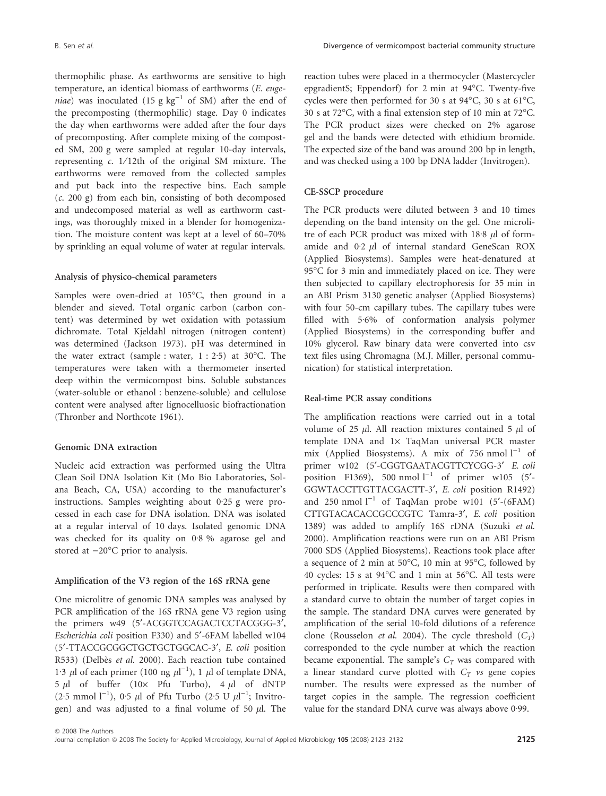thermophilic phase. As earthworms are sensitive to high temperature, an identical biomass of earthworms (*E. euge* $niae)$  was inoculated (15 g  $kg^{-1}$  of SM) after the end of the precomposting (thermophilic) stage. Day 0 indicates the day when earthworms were added after the four days of precomposting. After complete mixing of the composted SM, 200 g were sampled at regular 10-day intervals, representing *c*.  $1/12$ th of the original SM mixture. The earthworms were removed from the collected samples and put back into the respective bins. Each sample (*c*. 200 g) from each bin, consisting of both decomposed and undecomposed material as well as earthworm castings, was thoroughly mixed in a blender for homogenization. The moisture content was kept at a level of 60–70% by sprinkling an equal volume of water at regular intervals.

#### Analysis of physico-chemical parameters

Samples were oven-dried at 105°C, then ground in a blender and sieved. Total organic carbon (carbon content) was determined by wet oxidation with potassium dichromate. Total Kjeldahl nitrogen (nitrogen content) was determined (Jackson 1973). pH was determined in the water extract (sample : water,  $1:2.5$ ) at  $30^{\circ}$ C. The temperatures were taken with a thermometer inserted deep within the vermicompost bins. Soluble substances (water-soluble or ethanol : benzene-soluble) and cellulose content were analysed after lignocelluosic biofractionation (Thronber and Northcote 1961).

#### Genomic DNA extraction

Nucleic acid extraction was performed using the Ultra Clean Soil DNA Isolation Kit (Mo Bio Laboratories, Solana Beach, CA, USA) according to the manufacturer's instructions. Samples weighting about  $0.25$  g were processed in each case for DNA isolation. DNA was isolated at a regular interval of 10 days. Isolated genomic DNA was checked for its quality on  $0.8\%$  agarose gel and stored at  $-20^{\circ}$ C prior to analysis.

## Amplification of the V3 region of the 16S rRNA gene

One microlitre of genomic DNA samples was analysed by PCR amplification of the 16S rRNA gene V3 region using the primers w49 (5'-ACGGTCCAGACTCCTACGGG-3', *Escherichia coli* position F330) and 5¢-6FAM labelled w104 (5¢-TTACCGCGGCTGCTGCTGGCAC-3¢, *E. coli* position R533) (Delbès *et al.* 2000). Each reaction tube contained 1.3  $\mu$ l of each primer (100 ng  $\mu$ l<sup>-1</sup>), 1  $\mu$ l of template DNA, 5  $\mu$ l of buffer (10× Pfu Turbo), 4  $\mu$ l of dNTP  $(2.5 \text{ mmol } l^{-1})$ , 0.5  $\mu$ l of Pfu Turbo  $(2.5 \text{ U } \mu l^{-1})$ ; Invitrogen) and was adjusted to a final volume of 50  $\mu$ l. The reaction tubes were placed in a thermocycler (Mastercycler epgradientS; Eppendorf) for 2 min at 94°C. Twenty-five cycles were then performed for 30 s at  $94^{\circ}$ C, 30 s at 61 $^{\circ}$ C, 30 s at 72°C, with a final extension step of 10 min at 72°C. The PCR product sizes were checked on 2% agarose gel and the bands were detected with ethidium bromide. The expected size of the band was around 200 bp in length, and was checked using a 100 bp DNA ladder (Invitrogen).

## CE-SSCP procedure

The PCR products were diluted between 3 and 10 times depending on the band intensity on the gel. One microlitre of each PCR product was mixed with  $18.8 \mu$ l of formamide and 0.2 *ul* of internal standard GeneScan ROX (Applied Biosystems). Samples were heat-denatured at 95°C for 3 min and immediately placed on ice. They were then subjected to capillary electrophoresis for 35 min in an ABI Prism 3130 genetic analyser (Applied Biosystems) with four 50-cm capillary tubes. The capillary tubes were filled with 5.6% of conformation analysis polymer (Applied Biosystems) in the corresponding buffer and 10% glycerol. Raw binary data were converted into csv text files using Chromagna (M.J. Miller, personal communication) for statistical interpretation.

## Real-time PCR assay conditions

The amplification reactions were carried out in a total volume of 25  $\mu$ l. All reaction mixtures contained 5  $\mu$ l of template DNA and 1× TaqMan universal PCR master mix (Applied Biosystems). A mix of 756 nmol  $l^{-1}$  of primer w102 (5'-CGGTGAATACGTTCYCGG-3' *E. coli* position F1369), 500 nmol  $l^{-1}$  of primer w105 (5'-GGWTACCTTGTTACGACTT-3¢, *E. coli* position R1492) and 250 nmol  $l^{-1}$  of TaqMan probe w101 (5'-(6FAM) CTTGTACACACCGCCCGTC Tamra-3', *E. coli* position 1389) was added to amplify 16S rDNA (Suzuki *et al.* 2000). Amplification reactions were run on an ABI Prism 7000 SDS (Applied Biosystems). Reactions took place after a sequence of 2 min at 50°C, 10 min at 95°C, followed by 40 cycles: 15 s at 94°C and 1 min at 56°C. All tests were performed in triplicate. Results were then compared with a standard curve to obtain the number of target copies in the sample. The standard DNA curves were generated by amplification of the serial 10-fold dilutions of a reference clone (Rousselon *et al.* 2004). The cycle threshold  $(C_T)$ corresponded to the cycle number at which the reaction became exponential. The sample's  $C_T$  was compared with a linear standard curve plotted with  $C_T$  *vs* gene copies number. The results were expressed as the number of target copies in the sample. The regression coefficient value for the standard DNA curve was always above 0.99.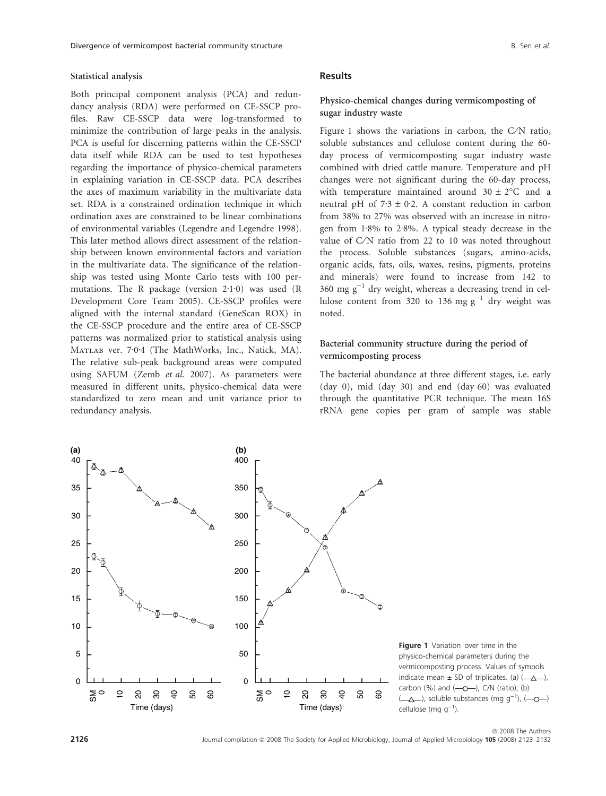#### Statistical analysis

Both principal component analysis (PCA) and redundancy analysis (RDA) were performed on CE-SSCP profiles. Raw CE-SSCP data were log-transformed to minimize the contribution of large peaks in the analysis. PCA is useful for discerning patterns within the CE-SSCP data itself while RDA can be used to test hypotheses regarding the importance of physico-chemical parameters in explaining variation in CE-SSCP data. PCA describes the axes of maximum variability in the multivariate data set. RDA is a constrained ordination technique in which ordination axes are constrained to be linear combinations of environmental variables (Legendre and Legendre 1998). This later method allows direct assessment of the relationship between known environmental factors and variation in the multivariate data. The significance of the relationship was tested using Monte Carlo tests with 100 permutations. The R package (version  $2·1·0$ ) was used (R Development Core Team 2005). CE-SSCP profiles were aligned with the internal standard (GeneScan ROX) in the CE-SSCP procedure and the entire area of CE-SSCP patterns was normalized prior to statistical analysis using MATLAB ver. 7.0.4 (The MathWorks, Inc., Natick, MA). The relative sub-peak background areas were computed using SAFUM (Zemb *et al.* 2007). As parameters were measured in different units, physico-chemical data were standardized to zero mean and unit variance prior to redundancy analysis.

## Results

## Physico-chemical changes during vermicomposting of sugar industry waste

Figure 1 shows the variations in carbon, the  $C/N$  ratio, soluble substances and cellulose content during the 60 day process of vermicomposting sugar industry waste combined with dried cattle manure. Temperature and pH changes were not significant during the 60-day process, with temperature maintained around  $30 \pm 2$ °C and a neutral pH of  $7.3 \pm 0.2$ . A constant reduction in carbon from 38% to 27% was observed with an increase in nitrogen from  $1.8\%$  to  $2.8\%$ . A typical steady decrease in the value of C/N ratio from 22 to 10 was noted throughout the process. Soluble substances (sugars, amino-acids, organic acids, fats, oils, waxes, resins, pigments, proteins and minerals) were found to increase from 142 to 360 mg  $g^{-1}$  dry weight, whereas a decreasing trend in cellulose content from 320 to 136 mg  $g^{-1}$  dry weight was noted.

## Bacterial community structure during the period of vermicomposting process

The bacterial abundance at three different stages, i.e. early (day 0), mid (day 30) and end (day 60) was evaluated through the quantitative PCR technique. The mean 16S rRNA gene copies per gram of sample was stable



**Figure 1** Variation over time in the physico-chemical parameters during the vermicomposting process. Values of symbols indicate mean  $\pm$  SD of triplicates. (a) ( $\rightarrow$ ), carbon  $(\%)$  and  $(-o-)$ , C/N (ratio); (b)  $(\_\Delta\_\)$ , soluble substances (mg g<sup>-1</sup>),  $(\_\odot\_\)$ cellulose (mg  $g^{-1}$ ).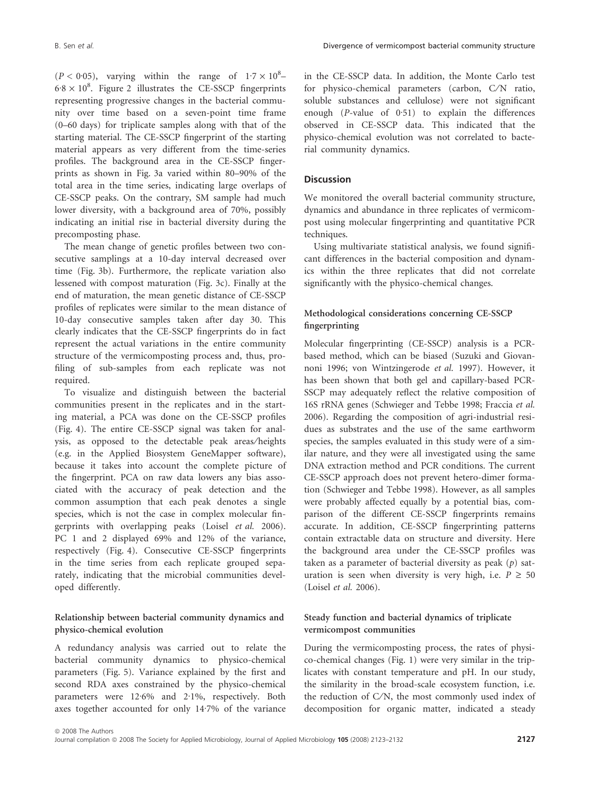$(P < 0.05)$ , varying within the range of  $1.7 \times 10^8$ - $6.8 \times 10^8$ . Figure 2 illustrates the CE-SSCP fingerprints representing progressive changes in the bacterial community over time based on a seven-point time frame (0–60 days) for triplicate samples along with that of the starting material. The CE-SSCP fingerprint of the starting material appears as very different from the time-series profiles. The background area in the CE-SSCP fingerprints as shown in Fig. 3a varied within 80–90% of the total area in the time series, indicating large overlaps of CE-SSCP peaks. On the contrary, SM sample had much lower diversity, with a background area of 70%, possibly indicating an initial rise in bacterial diversity during the precomposting phase.

The mean change of genetic profiles between two consecutive samplings at a 10-day interval decreased over time (Fig. 3b). Furthermore, the replicate variation also lessened with compost maturation (Fig. 3c). Finally at the end of maturation, the mean genetic distance of CE-SSCP profiles of replicates were similar to the mean distance of 10-day consecutive samples taken after day 30. This clearly indicates that the CE-SSCP fingerprints do in fact represent the actual variations in the entire community structure of the vermicomposting process and, thus, profiling of sub-samples from each replicate was not required.

To visualize and distinguish between the bacterial communities present in the replicates and in the starting material, a PCA was done on the CE-SSCP profiles (Fig. 4). The entire CE-SSCP signal was taken for analysis, as opposed to the detectable peak areas⁄ heights (e.g. in the Applied Biosystem GeneMapper software), because it takes into account the complete picture of the fingerprint. PCA on raw data lowers any bias associated with the accuracy of peak detection and the common assumption that each peak denotes a single species, which is not the case in complex molecular fingerprints with overlapping peaks (Loisel *et al.* 2006). PC 1 and 2 displayed 69% and 12% of the variance, respectively (Fig. 4). Consecutive CE-SSCP fingerprints in the time series from each replicate grouped separately, indicating that the microbial communities developed differently.

# Relationship between bacterial community dynamics and physico-chemical evolution

A redundancy analysis was carried out to relate the bacterial community dynamics to physico-chemical parameters (Fig. 5). Variance explained by the first and second RDA axes constrained by the physico-chemical parameters were 12<sup>.6%</sup> and 2.1%, respectively. Both axes together accounted for only 14.7% of the variance in the CE-SSCP data. In addition, the Monte Carlo test for physico-chemical parameters (carbon, C/N ratio, soluble substances and cellulose) were not significant enough  $(P$ -value of  $0.51$ ) to explain the differences observed in CE-SSCP data. This indicated that the physico-chemical evolution was not correlated to bacterial community dynamics.

# **Discussion**

We monitored the overall bacterial community structure, dynamics and abundance in three replicates of vermicompost using molecular fingerprinting and quantitative PCR techniques.

Using multivariate statistical analysis, we found significant differences in the bacterial composition and dynamics within the three replicates that did not correlate significantly with the physico-chemical changes.

# Methodological considerations concerning CE-SSCP fingerprinting

Molecular fingerprinting (CE-SSCP) analysis is a PCRbased method, which can be biased (Suzuki and Giovannoni 1996; von Wintzingerode *et al.* 1997). However, it has been shown that both gel and capillary-based PCR-SSCP may adequately reflect the relative composition of 16S rRNA genes (Schwieger and Tebbe 1998; Fraccia *et al.* 2006). Regarding the composition of agri-industrial residues as substrates and the use of the same earthworm species, the samples evaluated in this study were of a similar nature, and they were all investigated using the same DNA extraction method and PCR conditions. The current CE-SSCP approach does not prevent hetero-dimer formation (Schwieger and Tebbe 1998). However, as all samples were probably affected equally by a potential bias, comparison of the different CE-SSCP fingerprints remains accurate. In addition, CE-SSCP fingerprinting patterns contain extractable data on structure and diversity. Here the background area under the CE-SSCP profiles was taken as a parameter of bacterial diversity as peak (*p*) saturation is seen when diversity is very high, i.e.  $P \ge 50$ (Loisel *et al.* 2006).

# Steady function and bacterial dynamics of triplicate vermicompost communities

During the vermicomposting process, the rates of physico-chemical changes (Fig. 1) were very similar in the triplicates with constant temperature and pH. In our study, the similarity in the broad-scale ecosystem function, i.e. the reduction of C/N, the most commonly used index of decomposition for organic matter, indicated a steady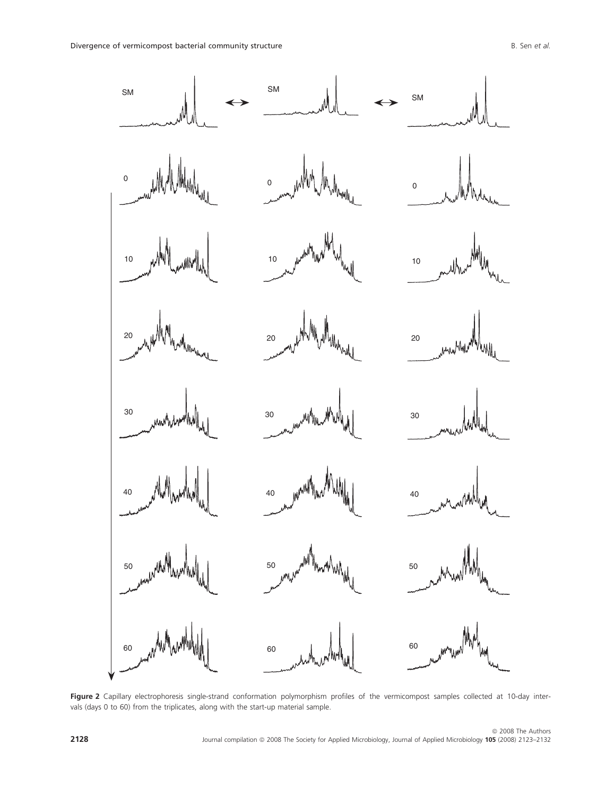

Figure 2 Capillary electrophoresis single-strand conformation polymorphism profiles of the vermicompost samples collected at 10-day intervals (days 0 to 60) from the triplicates, along with the start-up material sample.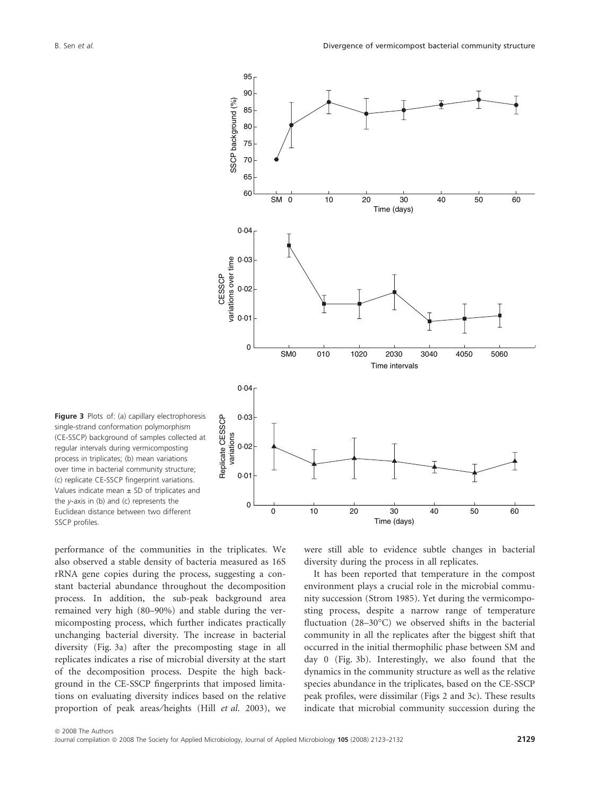

Figure 3 Plots of: (a) capillary electrophoresis single-strand conformation polymorphism (CE-SSCP) background of samples collected at regular intervals during vermicomposting process in triplicates; (b) mean variations over time in bacterial community structure; (c) replicate CE-SSCP fingerprint variations. Values indicate mean  $\pm$  SD of triplicates and the  $y$ -axis in (b) and (c) represents the Euclidean distance between two different SSCP profiles.

performance of the communities in the triplicates. We also observed a stable density of bacteria measured as 16S rRNA gene copies during the process, suggesting a constant bacterial abundance throughout the decomposition process. In addition, the sub-peak background area remained very high (80–90%) and stable during the vermicomposting process, which further indicates practically unchanging bacterial diversity. The increase in bacterial diversity (Fig. 3a) after the precomposting stage in all replicates indicates a rise of microbial diversity at the start of the decomposition process. Despite the high background in the CE-SSCP fingerprints that imposed limitations on evaluating diversity indices based on the relative proportion of peak areas⁄ heights (Hill *et al.* 2003), we

were still able to evidence subtle changes in bacterial diversity during the process in all replicates.

It has been reported that temperature in the compost environment plays a crucial role in the microbial community succession (Strom 1985). Yet during the vermicomposting process, despite a narrow range of temperature fluctuation (28-30°C) we observed shifts in the bacterial community in all the replicates after the biggest shift that occurred in the initial thermophilic phase between SM and day 0 (Fig. 3b). Interestingly, we also found that the dynamics in the community structure as well as the relative species abundance in the triplicates, based on the CE-SSCP peak profiles, were dissimilar (Figs 2 and 3c). These results indicate that microbial community succession during the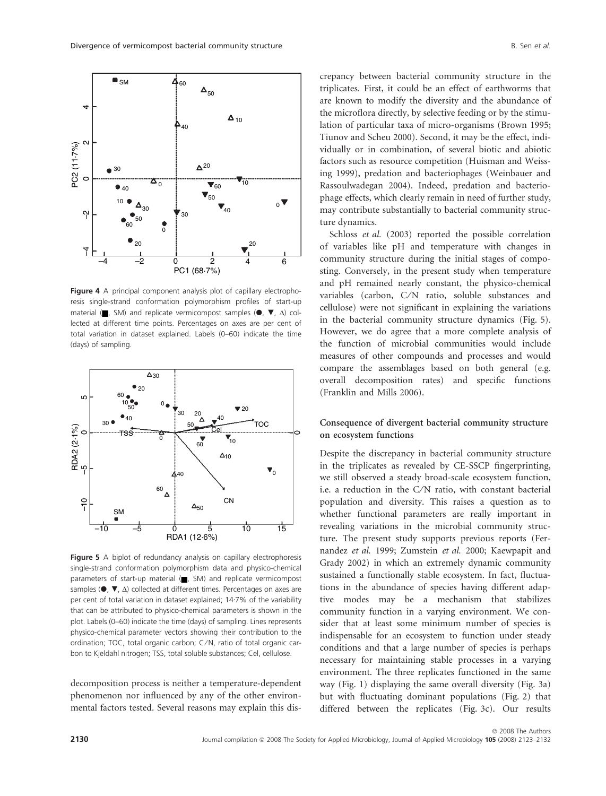

Figure 4 A principal component analysis plot of capillary electrophoresis single-strand conformation polymorphism profiles of start-up material ( $\blacksquare$ , SM) and replicate vermicompost samples ( $\blacksquare$ ,  $\blacksquare$ ,  $\Delta$ ) collected at different time points. Percentages on axes are per cent of total variation in dataset explained. Labels (0–60) indicate the time (days) of sampling.



Figure 5 A biplot of redundancy analysis on capillary electrophoresis single-strand conformation polymorphism data and physico-chemical parameters of start-up material  $($ , SM) and replicate vermicompost samples ( $\bullet$ ,  $\nabla$ ,  $\Delta$ ) collected at different times. Percentages on axes are per cent of total variation in dataset explained; 14.7% of the variability that can be attributed to physico-chemical parameters is shown in the plot. Labels (0–60) indicate the time (days) of sampling. Lines represents physico-chemical parameter vectors showing their contribution to the ordination; TOC, total organic carbon; C/N, ratio of total organic carbon to Kjeldahl nitrogen; TSS, total soluble substances; Cel, cellulose.

decomposition process is neither a temperature-dependent phenomenon nor influenced by any of the other environmental factors tested. Several reasons may explain this discrepancy between bacterial community structure in the triplicates. First, it could be an effect of earthworms that are known to modify the diversity and the abundance of the microflora directly, by selective feeding or by the stimulation of particular taxa of micro-organisms (Brown 1995; Tiunov and Scheu 2000). Second, it may be the effect, individually or in combination, of several biotic and abiotic factors such as resource competition (Huisman and Weissing 1999), predation and bacteriophages (Weinbauer and Rassoulwadegan 2004). Indeed, predation and bacteriophage effects, which clearly remain in need of further study, may contribute substantially to bacterial community structure dynamics.

Schloss *et al.* (2003) reported the possible correlation of variables like pH and temperature with changes in community structure during the initial stages of composting. Conversely, in the present study when temperature and pH remained nearly constant, the physico-chemical variables (carbon, C/N ratio, soluble substances and cellulose) were not significant in explaining the variations in the bacterial community structure dynamics (Fig. 5). However, we do agree that a more complete analysis of the function of microbial communities would include measures of other compounds and processes and would compare the assemblages based on both general (e.g. overall decomposition rates) and specific functions (Franklin and Mills 2006).

# Consequence of divergent bacterial community structure on ecosystem functions

Despite the discrepancy in bacterial community structure in the triplicates as revealed by CE-SSCP fingerprinting, we still observed a steady broad-scale ecosystem function, i.e. a reduction in the C⁄N ratio, with constant bacterial population and diversity. This raises a question as to whether functional parameters are really important in revealing variations in the microbial community structure. The present study supports previous reports (Fernandez *et al.* 1999; Zumstein *et al.* 2000; Kaewpapit and Grady 2002) in which an extremely dynamic community sustained a functionally stable ecosystem. In fact, fluctuations in the abundance of species having different adaptive modes may be a mechanism that stabilizes community function in a varying environment. We consider that at least some minimum number of species is indispensable for an ecosystem to function under steady conditions and that a large number of species is perhaps necessary for maintaining stable processes in a varying environment. The three replicates functioned in the same way (Fig. 1) displaying the same overall diversity (Fig. 3a) but with fluctuating dominant populations (Fig. 2) that differed between the replicates (Fig. 3c). Our results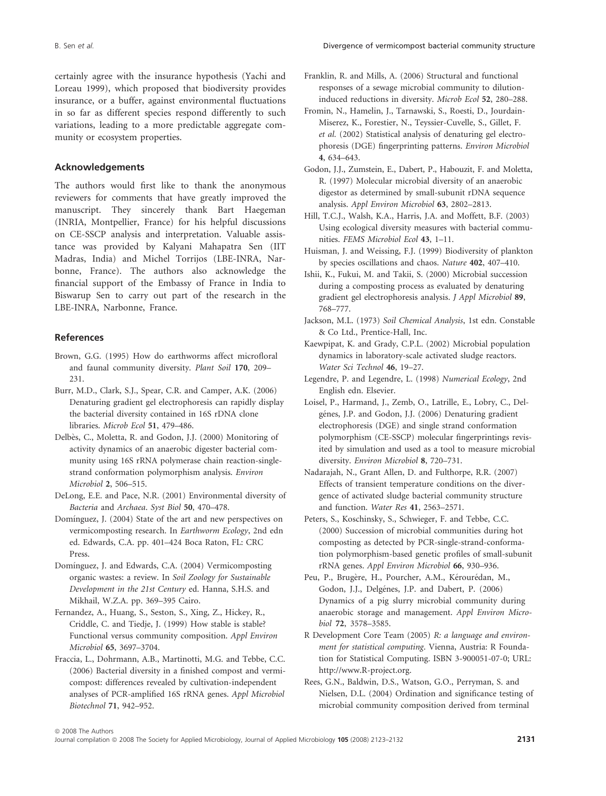certainly agree with the insurance hypothesis (Yachi and Loreau 1999), which proposed that biodiversity provides insurance, or a buffer, against environmental fluctuations in so far as different species respond differently to such variations, leading to a more predictable aggregate community or ecosystem properties.

# Acknowledgements

The authors would first like to thank the anonymous reviewers for comments that have greatly improved the manuscript. They sincerely thank Bart Haegeman (INRIA, Montpellier, France) for his helpful discussions on CE-SSCP analysis and interpretation. Valuable assistance was provided by Kalyani Mahapatra Sen (IIT Madras, India) and Michel Torrijos (LBE-INRA, Narbonne, France). The authors also acknowledge the financial support of the Embassy of France in India to Biswarup Sen to carry out part of the research in the LBE-INRA, Narbonne, France.

## References

- Brown, G.G. (1995) How do earthworms affect microfloral and faunal community diversity. *Plant Soil* 170, 209– 231.
- Burr, M.D., Clark, S.J., Spear, C.R. and Camper, A.K. (2006) Denaturing gradient gel electrophoresis can rapidly display the bacterial diversity contained in 16S rDNA clone libraries. *Microb Ecol* 51, 479–486.
- Delbès, C., Moletta, R. and Godon, J.J. (2000) Monitoring of activity dynamics of an anaerobic digester bacterial community using 16S rRNA polymerase chain reaction-singlestrand conformation polymorphism analysis. *Environ Microbiol* 2, 506–515.
- DeLong, E.E. and Pace, N.R. (2001) Environmental diversity of *Bacteria* and *Archaea*. *Syst Biol* 50, 470–478.
- Domínguez, J. (2004) State of the art and new perspectives on vermicomposting research. In *Earthworm Ecology*, 2nd edn ed. Edwards, C.A. pp. 401–424 Boca Raton, FL: CRC Press.
- Domínguez, J. and Edwards, C.A. (2004) Vermicomposting organic wastes: a review. In *Soil Zoology for Sustainable Development in the 21st Century* ed. Hanna, S.H.S. and Mikhail, W.Z.A. pp. 369–395 Cairo.
- Fernandez, A., Huang, S., Seston, S., Xing, Z., Hickey, R., Criddle, C. and Tiedje, J. (1999) How stable is stable? Functional versus community composition. *Appl Environ Microbiol* 65, 3697–3704.
- Fraccia, L., Dohrmann, A.B., Martinotti, M.G. and Tebbe, C.C. (2006) Bacterial diversity in a finished compost and vermicompost: differences revealed by cultivation-independent analyses of PCR-amplified 16S rRNA genes. *Appl Microbiol Biotechnol* 71, 942–952.
- Franklin, R. and Mills, A. (2006) Structural and functional responses of a sewage microbial community to dilutioninduced reductions in diversity. *Microb Ecol* 52, 280–288.
- Fromin, N., Hamelin, J., Tarnawski, S., Roesti, D., Jourdain-Miserez, K., Forestier, N., Teyssier-Cuvelle, S., Gillet, F. *et al.* (2002) Statistical analysis of denaturing gel electrophoresis (DGE) fingerprinting patterns. *Environ Microbiol* 4, 634–643.
- Godon, J.J., Zumstein, E., Dabert, P., Habouzit, F. and Moletta, R. (1997) Molecular microbial diversity of an anaerobic digestor as determined by small-subunit rDNA sequence analysis. *Appl Environ Microbiol* 63, 2802–2813.
- Hill, T.C.J., Walsh, K.A., Harris, J.A. and Moffett, B.F. (2003) Using ecological diversity measures with bacterial communities. *FEMS Microbiol Ecol* 43, 1–11.
- Huisman, J. and Weissing, F.J. (1999) Biodiversity of plankton by species oscillations and chaos. *Nature* 402, 407–410.
- Ishii, K., Fukui, M. and Takii, S. (2000) Microbial succession during a composting process as evaluated by denaturing gradient gel electrophoresis analysis. *J Appl Microbiol* 89, 768–777.
- Jackson, M.L. (1973) *Soil Chemical Analysis*, 1st edn. Constable & Co Ltd., Prentice-Hall, Inc.
- Kaewpipat, K. and Grady, C.P.L. (2002) Microbial population dynamics in laboratory-scale activated sludge reactors. *Water Sci Technol* 46, 19–27.
- Legendre, P. and Legendre, L. (1998) *Numerical Ecology*, 2nd English edn. Elsevier.
- Loisel, P., Harmand, J., Zemb, O., Latrille, E., Lobry, C., Delgénes, J.P. and Godon, J.J. (2006) Denaturing gradient electrophoresis (DGE) and single strand conformation polymorphism (CE-SSCP) molecular fingerprintings revisited by simulation and used as a tool to measure microbial diversity. *Environ Microbiol* 8, 720–731.
- Nadarajah, N., Grant Allen, D. and Fulthorpe, R.R. (2007) Effects of transient temperature conditions on the divergence of activated sludge bacterial community structure and function. *Water Res* 41, 2563–2571.
- Peters, S., Koschinsky, S., Schwieger, F. and Tebbe, C.C. (2000) Succession of microbial communities during hot composting as detected by PCR-single-strand-conformation polymorphism-based genetic profiles of small-subunit rRNA genes. *Appl Environ Microbiol* 66, 930–936.
- Peu, P., Brugère, H., Pourcher, A.M., Kérourédan, M., Godon, J.J., Delgénes, J.P. and Dabert, P. (2006) Dynamics of a pig slurry microbial community during anaerobic storage and management. *Appl Environ Microbiol* 72, 3578–3585.
- R Development Core Team (2005) *R: a language and environment for statistical computing*. Vienna, Austria: R Foundation for Statistical Computing. ISBN 3-900051-07-0; URL: http://www.R-project.org.
- Rees, G.N., Baldwin, D.S., Watson, G.O., Perryman, S. and Nielsen, D.L. (2004) Ordination and significance testing of microbial community composition derived from terminal